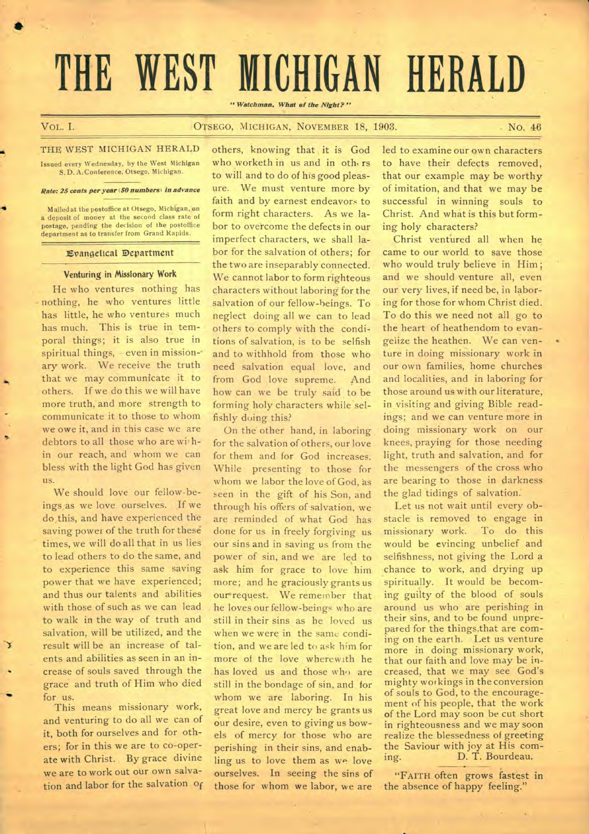# **THE WEST MICHIGAN HERALD**

*" Watchman. What of the Night?"* 

•

# VOL. I. CITSEGO, MICHIGAN, NOVEMBER 18, 1903. NO. 46

THE WEST MICHIGAN HERALD Issued every Wednesday, by the West Michigan S.D. A. Conference. Otsego, Michigan.

### *Rate: 25 cents per year (50 numbers) in advance*

Mailed at the postoffice at Otsego, Michigan, on a deposit of money at the second class rate of postage, pending the decision of the postoffice department as to transfer from Grand Rapids.

### Evangelical 3:Department

### Venturing in Missionary Work

He who ventures nothing has nothing, he who ventures little has little, he who ventures much has much. This is true in temporal things; it is also true in spiritual things, - even in missionary work. We receive the truth that we may communicate it to others. If we do this we will have more truth, and more strength to communicate it to those to whom we owe it, and in this case we are debtors to all those who are within our reach, and whom we can bless with the light God has given us.

We should love our fellow-beings as we love ourselves. If we do this, and have experienced the saving power of the truth for these times, we will do all that in us lies to lead others to do the same, and to experience this same saving power that we have experienced; and thus our talents and abilities with those of such as we can lead to walk in the way of truth and salvation, will be utilized, and the result will be an increase of talents and abilities as seen in an increase of souls saved through the grace and truth of Him who died for us.

This means missionary work, and venturing to do all we can of it, both for ourselves and for others; for in this we are to co-operate with Christ. By grace divine we are to work out our own salvation and labor for the salvation of others, knowing that it is God who worketh in us and in others to will and to do of his good pleasure. We must venture more by faith and by earnest endeavors to form right characters. As we labor to overcome the defects in our imperfect characters, we shall labor for the salvation of others; for the two are inseparably connected. We cannot labor to form righteous characters without laboring for the salvation of our fellow-beings. To neglect doing all we can to lead ot hers to comply with the conditions of salvation, is to be selfish and to withhold from those who need salvation equal love, and from God love supreme. And how can we be truly said to be forming holy characters while selfishly doing this?

On the other hand, in laboring for the salvation of others, our love for them and for God increases: While presenting to those for whom we labor the love of God, as seen in the gift of his Son, and through his offers of salvation, we are reminded of what God has done for us in freely forgiving us our sins and in saving us from the power of sin, and we are led to ask him for grace to love him more; and he graciously grants us our request. We remember that he loves our fellow-beings who are still in their sins as he loved us when we were in the same condition, and we are led to ask him for more of the love wherewith he has loved us and those who are still in the bondage of sin, and for whom we are laboring. In his great love and mercy he grants us our desire, even to giving us bowels of mercy for those who are perishing in their sins, and enabling us to love them as we love ourselves. In seeing the sins of those for whom we labor, we are led to examine our own characters to have their defects removed, that our example may be worthy of imitation, and that we may be successful in winning souls to Christ. And what is this but forming holy characters?

Christ ventured all when he came to our world to save those who would truly believe in Him; and we should venture all, even our very lives, if need be, in laboring for those for whom Christ died. To do this we need not all go to the heart of heathendom to evangelize the heathen. We can venture in doing missionary work in our own families, home churches and localities, and in laboring for those around us with our literature, in visiting and giving Bible readings; and we can venture more in doing missionary work on our knees, praying for those needing light, truth and salvation, and for the messengers of the cross who are bearing to those in darkness the glad tidings of salvation:

Let us not wait until every obstacle is removed to engage in missionary work. To do this would be evincing unbelief and selfishness, not giving the Lord a chance to work, and drying up spiritually. It would be becoming guilty of the blood of souls around us who are perishing in their sins, and to be found unprepared for the things.that are coming on the earth. Let us venture more in doing missionary work, that our faith and love may be increased, that we may see God's mighty workings in the conversion of souls to God, to the encouragement of his people, that the work of the Lord may soon be cut short in righteousness and we may soon realize the blessedness of greeting the Saviour with joy at His coming. D. T. Bourdeau.

"FAITH often grows fastest in the absence of happy feeling.'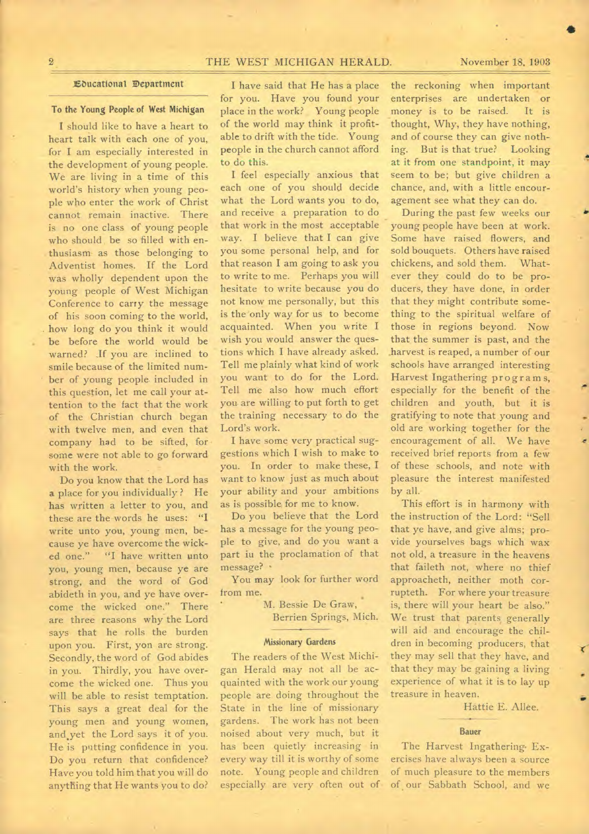## **2 THE WEST MICHIGAN HERALD. November 18. 1903**

### EDucattonal Department

# **To the Young People of west Michigan**

**I** should like to have a heart to heart talk with each one of you, for I am especially interested in the development of young people. We are living in a time of this world's history when young people who enter the work of Christ cannot remain inactive. There is no one class of young people who should be so filled with enthusiasm as those belonging to Adventist homes. If the Lord was wholly dependent upon the young people of West Michigan Conference to carry the message of his soon coming to the world, how long do you think it would be before the world would be warned? If you are inclined to smile because of the limited number of young people included in this question, let me call your attention to the fact that the work of the Christian church began with twelve men, and even that company had to be sifted, for some were not able to go forward with the work.

Do you know that the Lord has **a** place for you individually ? He has written a letter to you, and these are the words he uses: **"I**  write unto you, young men, because ye have overcome the wicked one." "I have written **unto**  you, young men, because ye are strong, and the word of God abideth in you, and ye have overcome the wicked one." There are three reasons why the Lord says that he rolls the burden upon you. First, yon are strong. Secondly, the word of God abides in you. Thirdly, you have overcome the wicked one. Thus you will be able to resist temptation. This says a great deal for the young men and young women, and yet the Lord says it of you. He is putting confidence in you. Do you return that confidence? Have you told him that you will do anything that He wants you to do?

I have said that He has a place for you. Have you found your place in the work? Young people of the world may think it profitable to drift with the tide. Young people in the church cannot afford to do this.

I feel especially anxious that each one of you should decide what the Lord wants you to do, and receive a preparation to do that work in the most acceptable way. I believe that I can give you some personal help, and for that reason I am going to ask you to write to me. Perhaps you will hesitate to write because you do not know me personally, but this is the only way for us to become acquainted. When you write I wish you would answer the questions which I have already asked. Tell me plainly what kind of work you want to do for the Lord. Tell me also how much effort you are willing to put forth to get the training necessary to do the Lord's work.

I have some very practical suggestions which I wish to make to you. In order to make these, I want to know just as much about your ability and your ambitions as is possible for me to know.

Do you believe that the Lord has a message for the young people to give, and do you want a part iu the proclamation of that message? •

You may look for further word from me.

> M. Bessie De Graw, Berrien Springs, Mich.

### **Missionary Gardens**

The readers of the West Michigan Herald may not all be acquainted with the work our young people are doing throughout the State in the line of missionary gardens. The work has not been noised about very much, but it has been quietly increasing in every way till it is worthy of some note. Young people and children especially are very often out of the reckoning when important enterprises are undertaken or money is to be raised. It is thought, Why, they have nothing, and of course they can give nothing. But is that true? Looking at it from one standpoint, it may seem to be; but give children a chance, and, with a little encouragement see what they can do.

During the past few weeks our young people have been at work. Some have raised flowers, and sold bouquets. Others have raised chickens, and sold them. Whatever they could do to be producers, they have done, in order that they might contribute something to the spiritual welfare of those in regions beyond. Now that the summer is past, and the harvest is reaped, a number of our schools have arranged interesting Harvest Ingathering programs, especially for the benefit of the children and youth, but it is gratifying to note that young and old are working together for the encouragement of all. We have received brief reports from a fewof these schools, and note with pleasure the interest manifested by all.

This effort is in harmony with the instruction of the Lord: "Sell that ye have, and give alms; provide yourselves bags which wax not old, a treasure in the heavens that faileth not, where no thief approacheth, neither moth corrupteth. For where your treasure is, there will your heart be also." We trust that parents generally will aid and encourage the children in becoming producers, that they may sell that they have, and that they may be gaining a living experience of what it is to lay up treasure in heaven.

Hattie E. Allee.

### **Bauer**

The Harvest Ingathering• Exercises have always been a source of much pleasure to the members of our Sabbath School, and we

**411**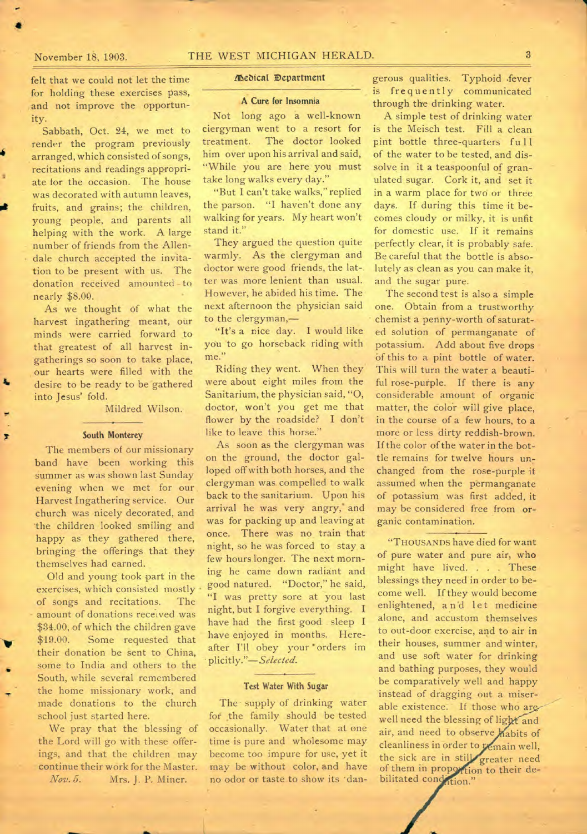# November 18, 1903. THE WEST MICHIGAN HERALD. 3

•

felt that we could not let the time for holding these exercises pass, and not improve the opportunity.

Sabbath, Oct. 24, we met to render the program previously arranged, which consisted of songs, recitations and readings appropriate for the occasion. The house was decorated with autumn leaves, fruits, and grains; the children, young people, and parents all helping with the work. A large number of friends from the Allendale church accepted the invitation to be present with us. The donation received amounted-to nearly \$8.00.

As we thought of what the harvest ingathering meant, our minds were carried forward to that greatest of all harvest ingatherings so soon to take place, our hearts were filled with the desire to be ready to be gathered into Jesus' fold.

Mildred Wilson.

### **South Monterey**

The members of our missionary band have been working this summer as was shown last Sunday evening when we met for our Harvest Ingathering service. Our church was nicely decorated, and the children looked smiling and happy as they gathered there, bringing the offerings that they themselves had earned.

Old and young took part in the exercises, which consisted mostly of songs and recitations. The amount of donations received was \$34.00, of which the children gave \$19.00. Some requested that their donation be sent to China, some to India and others to the South, while several remembered the home missionary work, and made donations to the church school just started here.

We pray that the blessing of the Lord will go with these offerings, and that the children may continue their work for the Master. *Nov.5.* Mrs. J. P. Miner.

### McNeal Department

### **A Cure for Insomnia**

Not long ago a well-known clergyman went to a resort for treatment. The doctor looked him over upon his arrival and said, "While you are here you must take long walks every day."

"But I can't take walks," replied the parson. "I haven't done any walking for years. My heart won't stand it."

They argued the question quite warmly. As the clergyman and doctor were good friends, the lat-. ter was more lenient than usual. However, he abided his time. The next afternoon the physician said to the clergyman,—

"It's a nice day. I would like you to go horseback riding with me."

Riding they went. When they were about eight miles from the Sanitarium, the physician said, "0, doctor, won't you get me that flower by the roadside? I don't like to leave this horse."

As soon as the clergyman was on the ground, the doctor galloped off with both horses, and the clergyman was compelled to walk back to the sanitarium. Upon his arrival he was very angry, and was for packing up and leaving at once. There was no train that night, so he was forced to stay a few hours longer. The next morning he came down radiant and good natured. "Doctor," he said, "I was pretty sore at you last night, but I forgive everything. I have had the first good sleep I have enjoyed in months. Hereafter I'll obey your • orders im plicitly."—Selected.

### Test **Water With Sugar**

The supply of drinking water for the family should be tested occasionally. Water that at one time is pure and wholesome may become too impure for use, yet it may be without color, and have no odor or taste to show its 'dan-

gerous qualities. Typhoid .fever is frequently communicated through the drinking water.

A simple test of drinking water is the Meisch test. Fill a clean pint bottle three-quarters fu 11 of the water to be tested, and dissolve in it a teaspoonful of granulated sugar. Cork it, and set it in a warm place for two or three days. If during this time it becomes cloudy or milky, it is unfit for domestic use. If it remains perfectly clear, it is probably safe. Be careful that the bottle is absolutely as clean as you can make it, and the sugar pure.

The second test is also a simple one. Obtain from a trustworthy chemist a penny-worth of saturated solution of permanganate of potassium. Add about five drops Of this to a pint bottle of water. This will turn the water a beautiful rose-purple. If there is any considerable amount of organic matter, the color will give place, in the course of a few hours, to a more or less dirty reddish-brown. If the color of the water in the bottle remains for twelve hours unchanged from the rose-purple it assumed when the permanganate of potassium was first added, it may be considered free from organic contamination.

"THOUSANDS have died for want of pure water and pure air, who might have lived. . . . These blessings they need in order to become well. If they would become enlightened, and let medicine alone, and accustom themselves to out-door exercise, and to air in their houses, summer and winter, and use soft water for drinking and bathing purposes, they would be comparatively well and happy instead of dragging out a miserable existence. If those who arewell need the blessing of light and air, and need to observe habits of cleanliness in order to remain well, the sick are in still greater need of them in proportion to their debilitated condition."